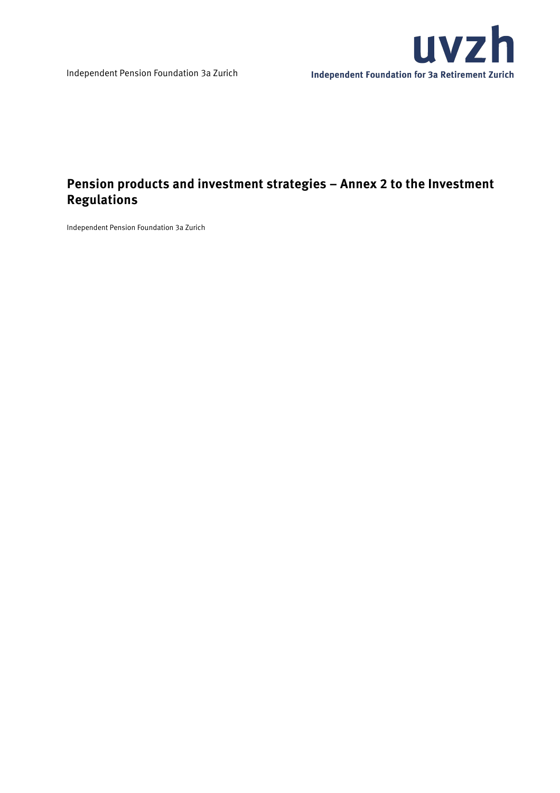

# **Pension products and investment strategies – Annex 2 to the Investment Regulations**

Independent Pension Foundation 3a Zurich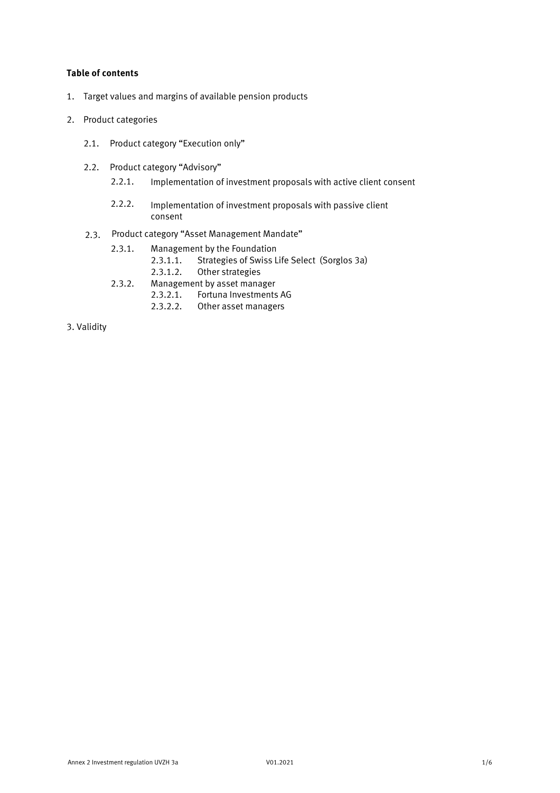## **Table of contents**

- 1. Target values and margins of available pension products
- 2. Product categories
	- 2.1. Product category "Execution only"
	- 2.2. Product category "Advisory"
		- 2.2.1. Implementation of investment proposals with active client consent
		- 2.2.2. Implementation of investment proposals with passive client consent
	- 2.3. Product category "Asset Management Mandate"
		- 2.3.1. Management by the Foundation
			- 2.3.1.1. Strategies of Swiss Life Select (Sorglos 3a)
			- 2.3.1.2. Other strategies
		- 2.3.2. Management by asset manager
			- 2.3.2.1. Fortuna Investments AG
			- 2.3.2.2. Other asset managers
- 3. Validity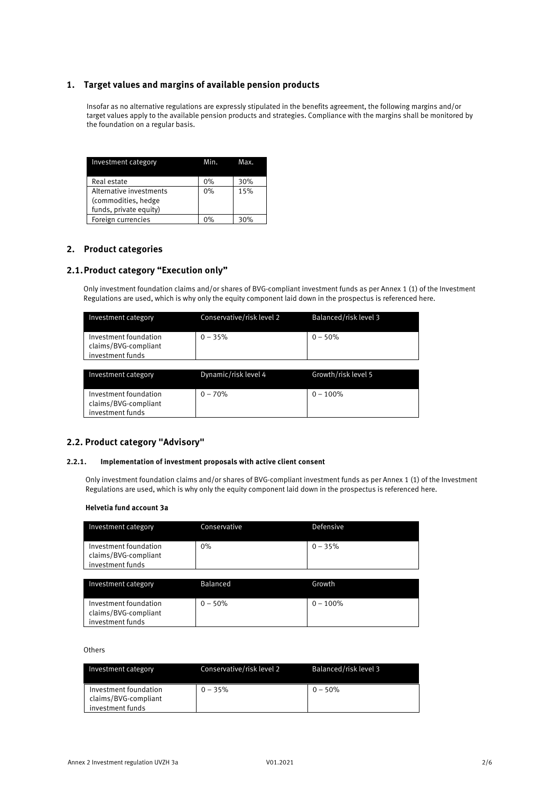## **1. Target values and margins of available pension products**

Insofar as no alternative regulations are expressly stipulated in the benefits agreement, the following margins and/or target values apply to the available pension products and strategies. Compliance with the margins shall be monitored by the foundation on a regular basis.

| Investment category     | Min. | Max. |
|-------------------------|------|------|
| Real estate             | 0%   | 30%  |
| Alternative investments | 0%   | 15%  |
| (commodities, hedge     |      |      |
| funds, private equity)  |      |      |
| Foreign currencies      | ሰ%   | 30%  |

## **2. Product categories**

## **2.1. Product category "Execution only"**

Only investment foundation claims and/or shares of BVG-compliant investment funds as per Annex 1 (1) of the Investment Regulations are used, which is why only the equity component laid down in the prospectus is referenced here.

| Investment category                                               | Conservative/risk level 2 | Balanced/risk level 3 |
|-------------------------------------------------------------------|---------------------------|-----------------------|
| Investment foundation<br>claims/BVG-compliant<br>investment funds | $0 - 35%$                 | $0 - 50%$             |
|                                                                   |                           |                       |
| Investment category                                               | Dynamic/risk level 4      | Growth/risk level 5   |
|                                                                   |                           |                       |
| Investment foundation<br>claims/BVG-compliant<br>investment funds | $0 - 70%$                 | $0 - 100%$            |

## **2.2. Product category "Advisory"**

### **2.2.1. Implementation of investment proposals with active client consent**

Only investment foundation claims and/or shares of BVG-compliant investment funds as per Annex 1 (1) of the Investment Regulations are used, which is why only the equity component laid down in the prospectus is referenced here.

#### **Helvetia fund account 3a**

| Investment category                                               | Conservative    | Defensive |
|-------------------------------------------------------------------|-----------------|-----------|
| Investment foundation<br>claims/BVG-compliant<br>investment funds | 0%              | $0 - 35%$ |
| Investment category                                               | <b>Balanced</b> | Growth    |

| Investment foundation | $0 - 50\%$ | $0 - 100\%$ |
|-----------------------|------------|-------------|
| claims/BVG-compliant  |            |             |
| investment funds      |            |             |

#### **Others**

| Investment category                           | Conservative/risk level 2 | Balanced/risk level 3 |
|-----------------------------------------------|---------------------------|-----------------------|
| Investment foundation<br>claims/BVG-compliant | $0 - 35%$                 | $0 - 50\%$            |
| investment funds                              |                           |                       |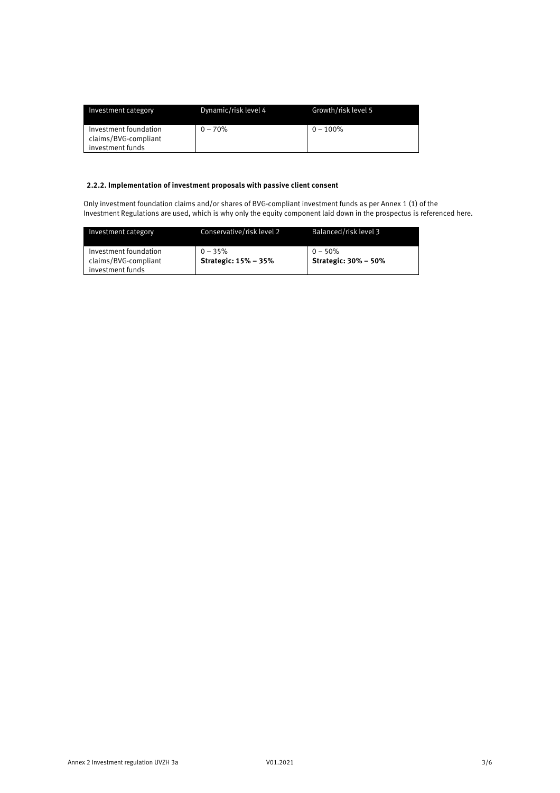| Investment category                                               | Dynamic/risk level 4 | Growth/risk level 5 |
|-------------------------------------------------------------------|----------------------|---------------------|
| Investment foundation<br>claims/BVG-compliant<br>investment funds | $0 - 70%$            | $0 - 100\%$         |

## **2.2.2. Implementation of investment proposals with passive client consent**

Only investment foundation claims and/or shares of BVG-compliant investment funds as per Annex 1 (1) of the Investment Regulations are used, which is why only the equity component laid down in the prospectus is referenced here.

| Investment category                                               | Conservative/risk level 2                | Balanced/risk level 3                     |
|-------------------------------------------------------------------|------------------------------------------|-------------------------------------------|
| Investment foundation<br>claims/BVG-compliant<br>investment funds | $0 - 35%$<br><b>Strategic: 15% - 35%</b> | $0 - 50\%$<br><b>Strategic: 30% - 50%</b> |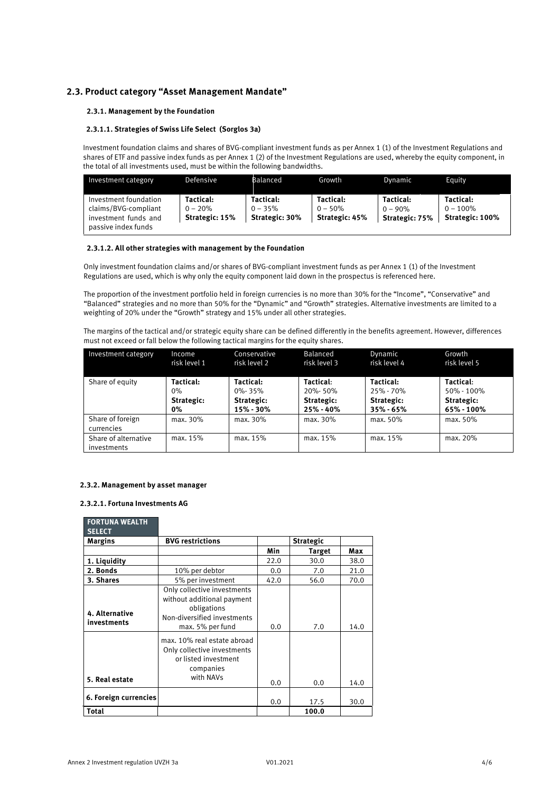## **2.3. Product category "Asset Management Mandate"**

#### **2.3.1. Management by the Foundation**

#### **2.3.1.1. Strategies of Swiss Life Select (Sorglos 3a)**

Investment foundation claims and shares of BVG-compliant investment funds as per Annex 1 (1) of the Investment Regulations and shares of ETF and passive index funds as per Annex 1 (2) of the Investment Regulations are used, whereby the equity component, in the total of all investments used, must be within the following bandwidths.

| Investment category                                                                          | Defensive                                | Balanced                                 | Growth                                   | Dvnamic                                   | Equity                                             |
|----------------------------------------------------------------------------------------------|------------------------------------------|------------------------------------------|------------------------------------------|-------------------------------------------|----------------------------------------------------|
| Investment foundation<br>claims/BVG-compliant<br>investment funds and<br>passive index funds | Tactical:<br>$0 - 20%$<br>Strategic: 15% | Tactical:<br>$0 - 35%$<br>Strategic: 30% | Tactical:<br>$0 - 50%$<br>Strategic: 45% | Tactical:<br>$0 - 90\%$<br>Strategic: 75% | Tactical:<br>$0 - 100\%$<br><b>Strategic: 100%</b> |

#### **2.3.1.2. All other strategies with management by the Foundation**

Only investment foundation claims and/or shares of BVG-compliant investment funds as per Annex 1 (1) of the Investment Regulations are used, which is why only the equity component laid down in the prospectus is referenced here.

The proportion of the investment portfolio held in foreign currencies is no more than 30% for the "Income", "Conservative" and "Balanced" strategies and no more than 50% for the "Dynamic" and "Growth" strategies. Alternative investments are limited to a weighting of 20% under the "Growth" strategy and 15% under all other strategies.

The margins of the tactical and/or strategic equity share can be defined differently in the benefits agreement. However, differences must not exceed or fall below the following tactical margins for the equity shares.

| Investment category  | Income       | Conservative | Balanced     | Dynamic       | Growth       |
|----------------------|--------------|--------------|--------------|---------------|--------------|
|                      | risk level 1 | risk level 2 | risk level 3 | risk level 4  | risk level 5 |
|                      |              |              |              |               |              |
| Share of equity      | Tactical:    | Tactical:    | Tactical:    | Tactical:     | Tactical:    |
|                      | 0%           | $0\% - 35\%$ | 20%-50%      | 25% - 70%     | 50% - 100%   |
|                      | Strategic:   | Strategic:   | Strategic:   | Strategic:    | Strategic:   |
|                      | 0%           | 15% - 30%    | 25% - 40%    | $35\% - 65\%$ | 65% - 100%   |
| Share of foreign     | max. 30%     | max. 30%     | max. 30%     | max. 50%      | max. 50%     |
| currencies           |              |              |              |               |              |
| Share of alternative | max. 15%     | max. 15%     | max. 15%     | max. 15%      | max. 20%     |
| investments          |              |              |              |               |              |

#### **2.3.2. Management by asset manager**

#### **2.3.2.1. Fortuna Investments AG**

**FORTUNA WEALTH** 

| FORIUNA WEALIH<br><b>SELECT</b> |                                                                                                                             |      |                  |      |
|---------------------------------|-----------------------------------------------------------------------------------------------------------------------------|------|------------------|------|
| Margins                         | <b>BVG restrictions</b>                                                                                                     |      | <b>Strategic</b> |      |
|                                 |                                                                                                                             | Min  | <b>Target</b>    | Max  |
| 1. Liquidity                    |                                                                                                                             | 22.0 | 30.0             | 38.0 |
| 2. Bonds                        | 10% per debtor                                                                                                              | 0.0  | 7.0              | 21.0 |
| 3. Shares                       | 5% per investment                                                                                                           | 42.0 | 56.0             | 70.0 |
| 4. Alternative<br>investments   | Only collective investments<br>without additional payment<br>obligations<br>Non-diversified investments<br>max. 5% per fund | 0.0  | 7.0              | 14.0 |
| 5. Real estate                  | max. 10% real estate abroad<br>Only collective investments<br>or listed investment<br>companies<br>with NAVs                | 0.0  | 0.0              | 14.0 |
| 6. Foreign currencies           |                                                                                                                             | 0.0  | 17.5             | 30.0 |
| <b>Total</b>                    |                                                                                                                             |      | 100.0            |      |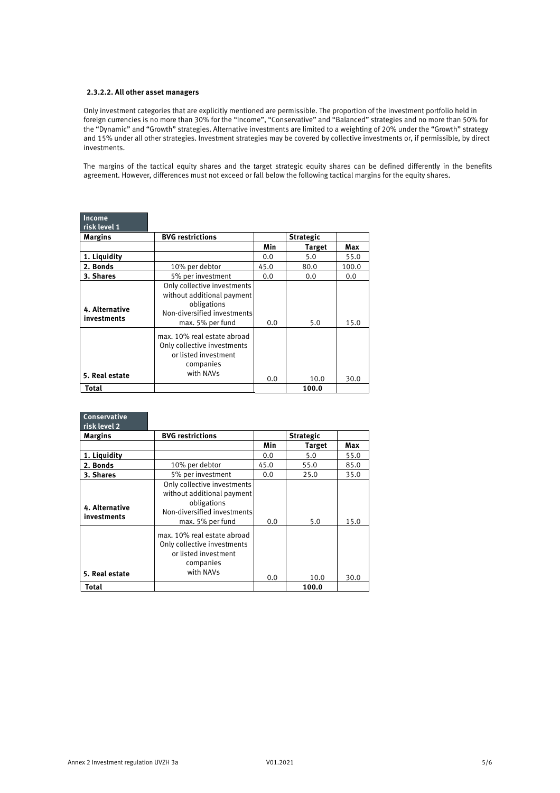#### **2.3.2.2. All other asset managers**

Only investment categories that are explicitly mentioned are permissible. The proportion of the investment portfolio held in foreign currencies is no more than 30% for the "Income", "Conservative" and "Balanced" strategies and no more than 50% for the "Dynamic" and "Growth" strategies. Alternative investments are limited to a weighting of 20% under the "Growth" strategy and 15% under all other strategies. Investment strategies may be covered by collective investments or, if permissible, by direct investments.

The margins of the tactical equity shares and the target strategic equity shares can be defined differently in the benefits agreement. However, differences must not exceed or fall below the following tactical margins for the equity shares.

| Income<br>risk level 1        |                                                                                                                             |      |                  |       |
|-------------------------------|-----------------------------------------------------------------------------------------------------------------------------|------|------------------|-------|
| <b>Margins</b>                | <b>BVG restrictions</b>                                                                                                     |      | <b>Strategic</b> |       |
|                               |                                                                                                                             | Min  | <b>Target</b>    | Max   |
| 1. Liquidity                  |                                                                                                                             | 0.0  | 5.0              | 55.0  |
| 2. Bonds                      | 10% per debtor                                                                                                              | 45.0 | 80.0             | 100.0 |
| 3. Shares                     | 5% per investment                                                                                                           | 0.0  | 0.0              | 0.0   |
| 4. Alternative<br>investments | Only collective investments<br>without additional payment<br>obligations<br>Non-diversified investments<br>max. 5% per fund | 0.0  | 5.0              | 15.0  |
| 5. Real estate                | max. 10% real estate abroad<br>Only collective investments<br>or listed investment<br>companies<br>with NAVs                | 0.0  | 10.0             | 30.0  |
| Total                         |                                                                                                                             |      | 100.0            |       |

| <b>Conservative</b><br>risk level 2 |                                                                                                                             |      |                  |      |
|-------------------------------------|-----------------------------------------------------------------------------------------------------------------------------|------|------------------|------|
| <b>Margins</b>                      | <b>BVG restrictions</b>                                                                                                     |      | <b>Strategic</b> |      |
|                                     |                                                                                                                             | Min  | <b>Target</b>    | Max  |
| 1. Liquidity                        |                                                                                                                             | 0.0  | 5.0              | 55.0 |
| 2. Bonds                            | 10% per debtor                                                                                                              | 45.0 | 55.0             | 85.0 |
| 3. Shares                           | 5% per investment                                                                                                           | 0.0  | 25.0             | 35.0 |
| 4. Alternative<br>investments       | Only collective investments<br>without additional payment<br>obligations<br>Non-diversified investments<br>max. 5% per fund | 0.0  | 5.0              | 15.0 |
| 5. Real estate                      | max. 10% real estate abroad<br>Only collective investments<br>or listed investment<br>companies<br>with NAVs                | 0.0  | 10.0             | 30.0 |
| Total                               |                                                                                                                             |      | 100.0            |      |